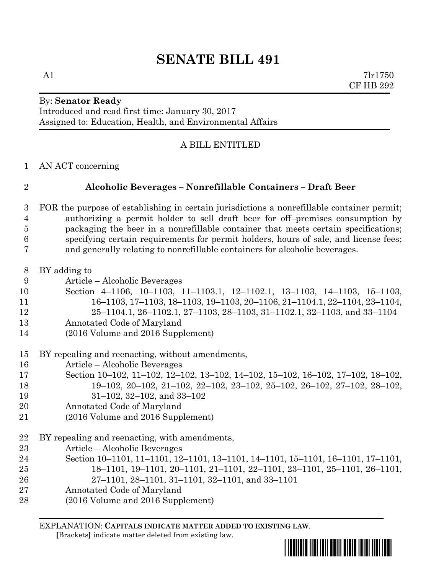#### By: **Senator Ready** Introduced and read first time: January 30, 2017 Assigned to: Education, Health, and Environmental Affairs

# A BILL ENTITLED

AN ACT concerning

# **Alcoholic Beverages – Nonrefillable Containers – Draft Beer**

- FOR the purpose of establishing in certain jurisdictions a nonrefillable container permit; authorizing a permit holder to sell draft beer for off–premises consumption by packaging the beer in a nonrefillable container that meets certain specifications; specifying certain requirements for permit holders, hours of sale, and license fees; and generally relating to nonrefillable containers for alcoholic beverages.
- BY adding to
- Article Alcoholic Beverages
- Section 4–1106, 10–1103, 11–1103.1, 12–1102.1, 13–1103, 14–1103, 15–1103,
- 16–1103, 17–1103, 18–1103, 19–1103, 20–1106, 21–1104.1, 22–1104, 23–1104, 25–1104.1, 26–1102.1, 27–1103, 28–1103, 31–1102.1, 32–1103, and 33–1104
- Annotated Code of Maryland
- (2016 Volume and 2016 Supplement)
- BY repealing and reenacting, without amendments,
- Article Alcoholic Beverages
- Section 10–102, 11–102, 12–102, 13–102, 14–102, 15–102, 16–102, 17–102, 18–102,
- 19–102, 20–102, 21–102, 22–102, 23–102, 25–102, 26–102, 27–102, 28–102,
- 31–102, 32–102, and 33–102
- Annotated Code of Maryland
- (2016 Volume and 2016 Supplement)
- BY repealing and reenacting, with amendments,
- Article Alcoholic Beverages
- Section 10–1101, 11–1101, 12–1101, 13–1101, 14–1101, 15–1101, 16–1101, 17–1101, 18–1101, 19–1101, 20–1101, 21–1101, 22–1101, 23–1101, 25–1101, 26–1101,
- 27–1101, 28–1101, 31–1101, 32–1101, and 33–1101
- Annotated Code of Maryland
- (2016 Volume and 2016 Supplement)

EXPLANATION: **CAPITALS INDICATE MATTER ADDED TO EXISTING LAW**.

 **[**Brackets**]** indicate matter deleted from existing law.

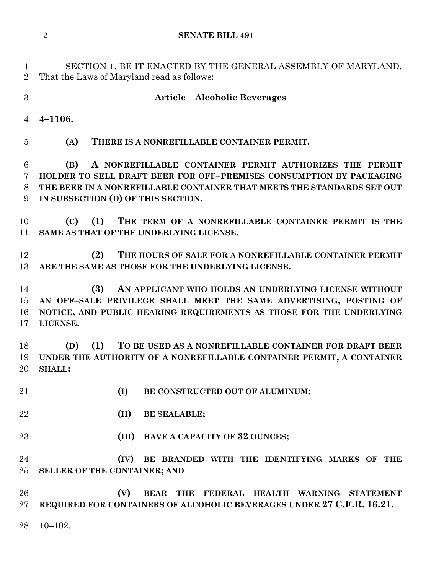SECTION 1. BE IT ENACTED BY THE GENERAL ASSEMBLY OF MARYLAND, That the Laws of Maryland read as follows:

**Article – Alcoholic Beverages**

**4–1106.**

**(A) THERE IS A NONREFILLABLE CONTAINER PERMIT.**

 **(B) A NONREFILLABLE CONTAINER PERMIT AUTHORIZES THE PERMIT HOLDER TO SELL DRAFT BEER FOR OFF–PREMISES CONSUMPTION BY PACKAGING THE BEER IN A NONREFILLABLE CONTAINER THAT MEETS THE STANDARDS SET OUT IN SUBSECTION (D) OF THIS SECTION.**

 **(C) (1) THE TERM OF A NONREFILLABLE CONTAINER PERMIT IS THE SAME AS THAT OF THE UNDERLYING LICENSE.**

 **(2) THE HOURS OF SALE FOR A NONREFILLABLE CONTAINER PERMIT ARE THE SAME AS THOSE FOR THE UNDERLYING LICENSE.**

 **(3) AN APPLICANT WHO HOLDS AN UNDERLYING LICENSE WITHOUT AN OFF–SALE PRIVILEGE SHALL MEET THE SAME ADVERTISING, POSTING OF NOTICE, AND PUBLIC HEARING REQUIREMENTS AS THOSE FOR THE UNDERLYING LICENSE.**

 **(D) (1) TO BE USED AS A NONREFILLABLE CONTAINER FOR DRAFT BEER UNDER THE AUTHORITY OF A NONREFILLABLE CONTAINER PERMIT, A CONTAINER SHALL:**

**(I) BE CONSTRUCTED OUT OF ALUMINUM;**

**(II) BE SEALABLE;**

**(III) HAVE A CAPACITY OF 32 OUNCES;**

 **(IV) BE BRANDED WITH THE IDENTIFYING MARKS OF THE SELLER OF THE CONTAINER; AND**

 **(V) BEAR THE FEDERAL HEALTH WARNING STATEMENT REQUIRED FOR CONTAINERS OF ALCOHOLIC BEVERAGES UNDER 27 C.F.R. 16.21.**

10–102.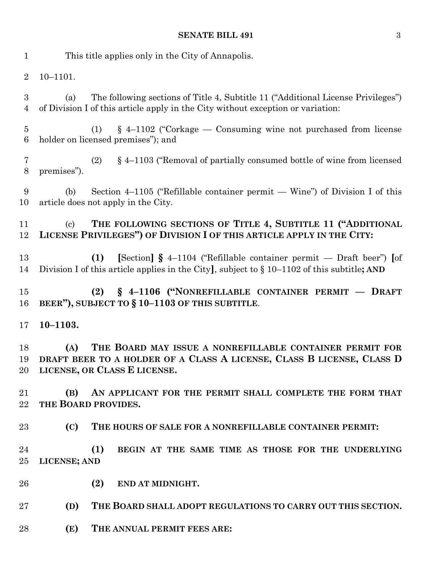| $\mathbf{1}$                      | This title applies only in the City of Annapolis.                                                                                                                               |
|-----------------------------------|---------------------------------------------------------------------------------------------------------------------------------------------------------------------------------|
| $\overline{2}$                    | $10 - 1101.$                                                                                                                                                                    |
| $\boldsymbol{3}$<br>4             | The following sections of Title 4, Subtitle 11 ("Additional License Privileges")<br>(a)<br>of Division I of this article apply in the City without exception or variation:      |
| $\overline{5}$<br>$6\phantom{.}6$ | $\S$ 4–1102 ("Corkage — Consuming wine not purchased from license<br>(1)<br>holder on licensed premises"); and                                                                  |
| $\overline{7}$<br>$8\,$           | § 4-1103 ("Removal of partially consumed bottle of wine from licensed<br>(2)<br>premises").                                                                                     |
| 9<br>10                           | Section 4–1105 ("Refillable container permit — Wine") of Division I of this<br>(b)<br>article does not apply in the City.                                                       |
| 11<br>12                          | THE FOLLOWING SECTIONS OF TITLE 4, SUBTITLE 11 ("ADDITIONAL<br>$\left( \mathrm{c}\right)$<br>LICENSE PRIVILEGES") OF DIVISION I OF THIS ARTICLE APPLY IN THE CITY:              |
| 13<br>14                          | [Section] $\S$ 4-1104 ("Refillable container permit — Draft beer") [of<br>(1)<br>Division I of this article applies in the City], subject to $\S 10-1102$ of this subtitle; AND |
| 15<br>16                          | (2) § 4-1106 ("NONREFILLABLE CONTAINER PERMIT - DRAFT<br>BEER"), SUBJECT TO § 10-1103 OF THIS SUBTITLE.                                                                         |
| 17                                | $10 - 1103.$                                                                                                                                                                    |
| 18<br>19                          | THE BOARD MAY ISSUE A NONREFILLABLE CONTAINER PERMIT FOR<br>(A)<br>DRAFT BEER TO A HOLDER OF A CLASS A LICENSE, CLASS B LICENSE, CLASS D<br>20 LICENSE, OR CLASS E LICENSE.     |
| 21<br>$22\,$                      | (B)<br>AN APPLICANT FOR THE PERMIT SHALL COMPLETE THE FORM THAT<br>THE BOARD PROVIDES.                                                                                          |
| $23\,$                            | (C)<br>THE HOURS OF SALE FOR A NONREFILLABLE CONTAINER PERMIT:                                                                                                                  |
| 24<br>25                          | (1)<br>BEGIN AT THE SAME TIME AS THOSE FOR THE UNDERLYING<br>LICENSE; AND                                                                                                       |
| 26                                | (2)<br>END AT MIDNIGHT.                                                                                                                                                         |
| $27\,$                            | THE BOARD SHALL ADOPT REGULATIONS TO CARRY OUT THIS SECTION.<br>(D)                                                                                                             |
| 28                                | (E)<br>THE ANNUAL PERMIT FEES ARE:                                                                                                                                              |
|                                   |                                                                                                                                                                                 |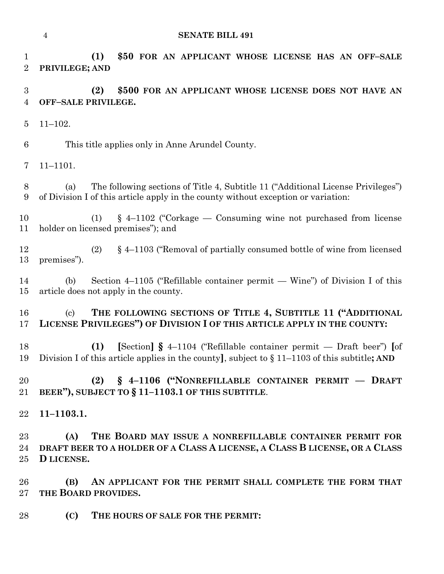```
4 SENATE BILL 491
```
 **(1) \$50 FOR AN APPLICANT WHOSE LICENSE HAS AN OFF–SALE PRIVILEGE; AND (2) \$500 FOR AN APPLICANT WHOSE LICENSE DOES NOT HAVE AN OFF–SALE PRIVILEGE.** 11–102. This title applies only in Anne Arundel County. 11–1101. (a) The following sections of Title 4, Subtitle 11 ("Additional License Privileges") of Division I of this article apply in the county without exception or variation: (1) § 4–1102 ("Corkage — Consuming wine not purchased from license holder on licensed premises"); and (2) § 4–1103 ("Removal of partially consumed bottle of wine from licensed premises"). (b) Section 4–1105 ("Refillable container permit — Wine") of Division I of this article does not apply in the county. (c) **THE FOLLOWING SECTIONS OF TITLE 4, SUBTITLE 11 ("ADDITIONAL LICENSE PRIVILEGES") OF DIVISION I OF THIS ARTICLE APPLY IN THE COUNTY: (1) [**Section**] §** 4–1104 ("Refillable container permit — Draft beer") **[**of Division I of this article applies in the county**]**, subject to § 11–1103 of this subtitle**; AND (2) § 4–1106 ("NONREFILLABLE CONTAINER PERMIT –– DRAFT BEER"), SUBJECT TO § 11–1103.1 OF THIS SUBTITLE**. **11–1103.1. (A) THE BOARD MAY ISSUE A NONREFILLABLE CONTAINER PERMIT FOR DRAFT BEER TO A HOLDER OF A CLASS A LICENSE, A CLASS B LICENSE, OR A CLASS D LICENSE. (B) AN APPLICANT FOR THE PERMIT SHALL COMPLETE THE FORM THAT THE BOARD PROVIDES. (C) THE HOURS OF SALE FOR THE PERMIT:**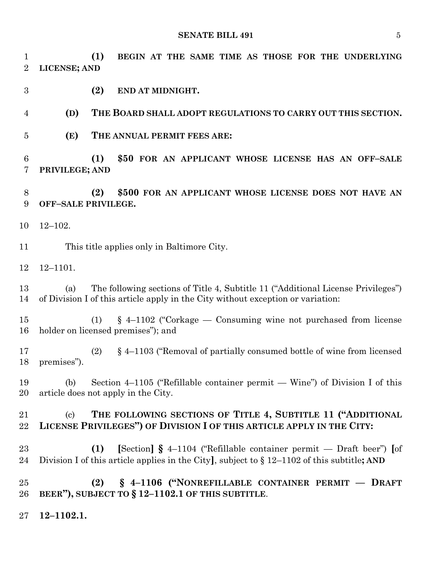**(1) BEGIN AT THE SAME TIME AS THOSE FOR THE UNDERLYING LICENSE; AND**

**(2) END AT MIDNIGHT.**

**(D) THE BOARD SHALL ADOPT REGULATIONS TO CARRY OUT THIS SECTION.**

**(E) THE ANNUAL PERMIT FEES ARE:**

 **(1) \$50 FOR AN APPLICANT WHOSE LICENSE HAS AN OFF–SALE PRIVILEGE; AND**

 **(2) \$500 FOR AN APPLICANT WHOSE LICENSE DOES NOT HAVE AN OFF–SALE PRIVILEGE.**

12–102.

This title applies only in Baltimore City.

12–1101.

 (a) The following sections of Title 4, Subtitle 11 ("Additional License Privileges") of Division I of this article apply in the City without exception or variation:

 (1) § 4–1102 ("Corkage — Consuming wine not purchased from license holder on licensed premises"); and

 (2) § 4–1103 ("Removal of partially consumed bottle of wine from licensed premises").

 (b) Section 4–1105 ("Refillable container permit — Wine") of Division I of this article does not apply in the City.

# (c) **THE FOLLOWING SECTIONS OF TITLE 4, SUBTITLE 11 ("ADDITIONAL LICENSE PRIVILEGES") OF DIVISION I OF THIS ARTICLE APPLY IN THE CITY:**

 **(1) [**Section**] §** 4–1104 ("Refillable container permit — Draft beer") **[**of Division I of this article applies in the City**]**, subject to § 12–1102 of this subtitle**; AND**

 **(2) § 4–1106 ("NONREFILLABLE CONTAINER PERMIT — DRAFT BEER"), SUBJECT TO § 12–1102.1 OF THIS SUBTITLE**.

**12–1102.1.**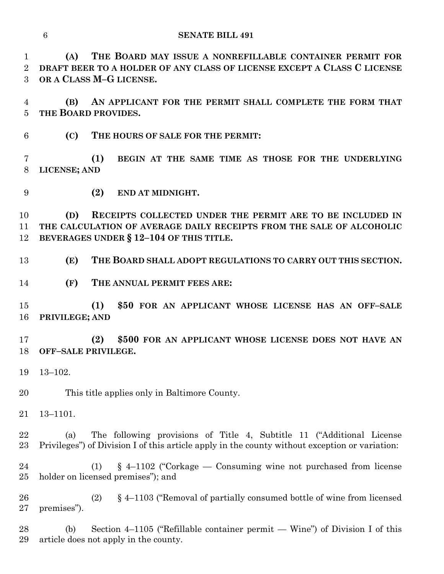**(A) THE BOARD MAY ISSUE A NONREFILLABLE CONTAINER PERMIT FOR DRAFT BEER TO A HOLDER OF ANY CLASS OF LICENSE EXCEPT A CLASS C LICENSE OR A CLASS M–G LICENSE.**

 **(B) AN APPLICANT FOR THE PERMIT SHALL COMPLETE THE FORM THAT THE BOARD PROVIDES.**

**(C) THE HOURS OF SALE FOR THE PERMIT:**

 **(1) BEGIN AT THE SAME TIME AS THOSE FOR THE UNDERLYING LICENSE; AND**

**(2) END AT MIDNIGHT.**

 **(D) RECEIPTS COLLECTED UNDER THE PERMIT ARE TO BE INCLUDED IN THE CALCULATION OF AVERAGE DAILY RECEIPTS FROM THE SALE OF ALCOHOLIC BEVERAGES UNDER § 12–104 OF THIS TITLE.**

**(E) THE BOARD SHALL ADOPT REGULATIONS TO CARRY OUT THIS SECTION.**

**(F) THE ANNUAL PERMIT FEES ARE:**

 **(1) \$50 FOR AN APPLICANT WHOSE LICENSE HAS AN OFF–SALE PRIVILEGE; AND**

 **(2) \$500 FOR AN APPLICANT WHOSE LICENSE DOES NOT HAVE AN OFF–SALE PRIVILEGE.**

13–102.

This title applies only in Baltimore County.

13–1101.

 (a) The following provisions of Title 4, Subtitle 11 ("Additional License Privileges") of Division I of this article apply in the county without exception or variation:

 (1) § 4–1102 ("Corkage — Consuming wine not purchased from license holder on licensed premises"); and

 (2) § 4–1103 ("Removal of partially consumed bottle of wine from licensed premises").

 (b) Section 4–1105 ("Refillable container permit — Wine") of Division I of this article does not apply in the county.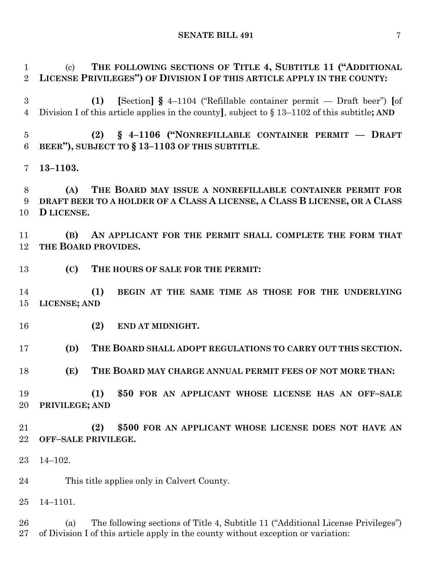(c) **THE FOLLOWING SECTIONS OF TITLE 4, SUBTITLE 11 ("ADDITIONAL LICENSE PRIVILEGES") OF DIVISION I OF THIS ARTICLE APPLY IN THE COUNTY:**

 **(1) [**Section**] §** 4–1104 ("Refillable container permit — Draft beer") **[**of Division I of this article applies in the county**]**, subject to § 13–1102 of this subtitle**; AND**

 **(2) § 4–1106 ("NONREFILLABLE CONTAINER PERMIT –– DRAFT BEER"), SUBJECT TO § 13–1103 OF THIS SUBTITLE**.

**13–1103.**

 **(A) THE BOARD MAY ISSUE A NONREFILLABLE CONTAINER PERMIT FOR DRAFT BEER TO A HOLDER OF A CLASS A LICENSE, A CLASS B LICENSE, OR A CLASS D LICENSE.**

 **(B) AN APPLICANT FOR THE PERMIT SHALL COMPLETE THE FORM THAT THE BOARD PROVIDES.**

**(C) THE HOURS OF SALE FOR THE PERMIT:**

 **(1) BEGIN AT THE SAME TIME AS THOSE FOR THE UNDERLYING LICENSE; AND**

**(2) END AT MIDNIGHT.**

**(D) THE BOARD SHALL ADOPT REGULATIONS TO CARRY OUT THIS SECTION.**

**(E) THE BOARD MAY CHARGE ANNUAL PERMIT FEES OF NOT MORE THAN:**

 **(1) \$50 FOR AN APPLICANT WHOSE LICENSE HAS AN OFF–SALE PRIVILEGE; AND**

 **(2) \$500 FOR AN APPLICANT WHOSE LICENSE DOES NOT HAVE AN OFF–SALE PRIVILEGE.**

14–102.

This title applies only in Calvert County.

14–1101.

 (a) The following sections of Title 4, Subtitle 11 ("Additional License Privileges") of Division I of this article apply in the county without exception or variation: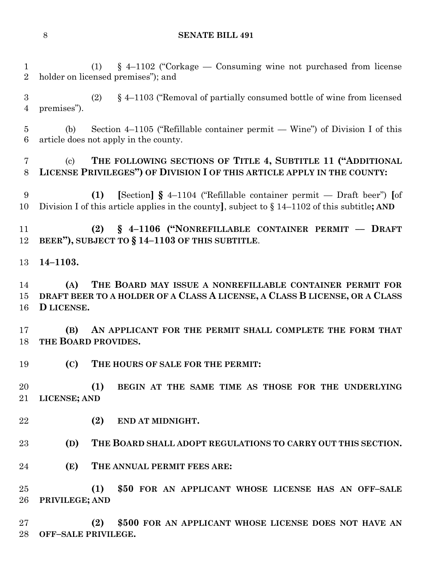(1) § 4–1102 ("Corkage — Consuming wine not purchased from license holder on licensed premises"); and

 (2) § 4–1103 ("Removal of partially consumed bottle of wine from licensed premises").

 (b) Section 4–1105 ("Refillable container permit — Wine") of Division I of this article does not apply in the county.

# (c) **THE FOLLOWING SECTIONS OF TITLE 4, SUBTITLE 11 ("ADDITIONAL LICENSE PRIVILEGES") OF DIVISION I OF THIS ARTICLE APPLY IN THE COUNTY:**

 **(1) [**Section**] §** 4–1104 ("Refillable container permit — Draft beer") **[**of Division I of this article applies in the county**]**, subject to § 14–1102 of this subtitle**; AND**

 **(2) § 4–1106 ("NONREFILLABLE CONTAINER PERMIT –– DRAFT BEER"), SUBJECT TO § 14–1103 OF THIS SUBTITLE**.

**14–1103.**

 **(A) THE BOARD MAY ISSUE A NONREFILLABLE CONTAINER PERMIT FOR DRAFT BEER TO A HOLDER OF A CLASS A LICENSE, A CLASS B LICENSE, OR A CLASS D LICENSE.**

 **(B) AN APPLICANT FOR THE PERMIT SHALL COMPLETE THE FORM THAT THE BOARD PROVIDES.**

**(C) THE HOURS OF SALE FOR THE PERMIT:**

 **(1) BEGIN AT THE SAME TIME AS THOSE FOR THE UNDERLYING LICENSE; AND**

**(2) END AT MIDNIGHT.**

**(D) THE BOARD SHALL ADOPT REGULATIONS TO CARRY OUT THIS SECTION.**

**(E) THE ANNUAL PERMIT FEES ARE:**

 **(1) \$50 FOR AN APPLICANT WHOSE LICENSE HAS AN OFF–SALE PRIVILEGE; AND**

 **(2) \$500 FOR AN APPLICANT WHOSE LICENSE DOES NOT HAVE AN OFF–SALE PRIVILEGE.**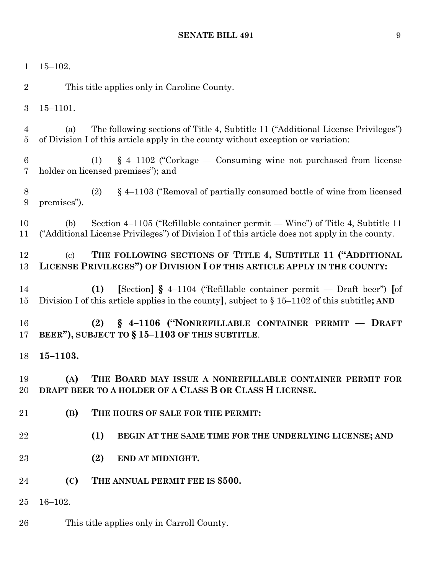| $\mathbf{1}$                     | $15 - 102.$                                                                                                                                                                           |
|----------------------------------|---------------------------------------------------------------------------------------------------------------------------------------------------------------------------------------|
| $\overline{2}$                   | This title applies only in Caroline County.                                                                                                                                           |
| 3                                | $15 - 1101.$                                                                                                                                                                          |
| $\overline{4}$<br>$\overline{5}$ | The following sections of Title 4, Subtitle 11 ("Additional License Privileges")<br>(a)<br>of Division I of this article apply in the county without exception or variation:          |
| $\boldsymbol{6}$<br>7            | $\S$ 4–1102 ("Corkage — Consuming wine not purchased from license<br>(1)<br>holder on licensed premises"); and                                                                        |
| $8\,$<br>$\boldsymbol{9}$        | § 4–1103 ("Removal of partially consumed bottle of wine from licensed<br>(2)<br>premises").                                                                                           |
| 10<br>11                         | Section 4–1105 ("Refillable container permit — Wine") of Title 4, Subtitle 11<br>(b)<br>("Additional License Privileges") of Division I of this article does not apply in the county. |
| 12<br>13                         | THE FOLLOWING SECTIONS OF TITLE 4, SUBTITLE 11 ("ADDITIONAL<br>(c)<br>LICENSE PRIVILEGES") OF DIVISION I OF THIS ARTICLE APPLY IN THE COUNTY:                                         |
| 14<br>15                         | [Section] $\S$ 4–1104 ("Refillable container permit — Draft beer") [of<br>(1)<br>Division I of this article applies in the county], subject to $\S 15-1102$ of this subtitle; AND     |
| 16<br>17                         | § 4-1106 ("NONREFILLABLE CONTAINER PERMIT - DRAFT<br>(2)<br>BEER"), SUBJECT TO $\S 15-1103$ OF THIS SUBTITLE.                                                                         |
| 18                               | $15 - 1103.$                                                                                                                                                                          |
| 19<br>20                         | (A)<br>THE BOARD MAY ISSUE A NONREFILLABLE CONTAINER PERMIT FOR<br>DRAFT BEER TO A HOLDER OF A CLASS B OR CLASS H LICENSE.                                                            |
| 21                               | (B)<br>THE HOURS OF SALE FOR THE PERMIT:                                                                                                                                              |
| 22                               | (1)<br>BEGIN AT THE SAME TIME FOR THE UNDERLYING LICENSE; AND                                                                                                                         |
| 23                               | (2)<br>END AT MIDNIGHT.                                                                                                                                                               |
| 24                               | THE ANNUAL PERMIT FEE IS \$500.<br>(C)                                                                                                                                                |
| 25                               | $16 - 102.$                                                                                                                                                                           |
| 26                               | This title applies only in Carroll County.                                                                                                                                            |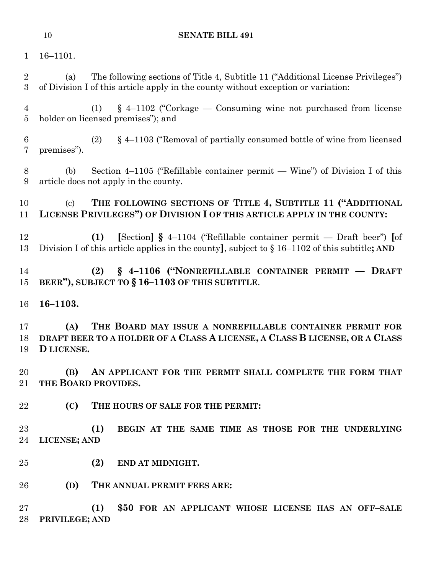16–1101.

 (a) The following sections of Title 4, Subtitle 11 ("Additional License Privileges") of Division I of this article apply in the county without exception or variation: (1) § 4–1102 ("Corkage — Consuming wine not purchased from license holder on licensed premises"); and (2) § 4–1103 ("Removal of partially consumed bottle of wine from licensed premises"). (b) Section 4–1105 ("Refillable container permit — Wine") of Division I of this article does not apply in the county. (c) **THE FOLLOWING SECTIONS OF TITLE 4, SUBTITLE 11 ("ADDITIONAL LICENSE PRIVILEGES") OF DIVISION I OF THIS ARTICLE APPLY IN THE COUNTY: (1) [**Section**] §** 4–1104 ("Refillable container permit — Draft beer") **[**of Division I of this article applies in the county**]**, subject to § 16–1102 of this subtitle**; AND (2) § 4–1106 ("NONREFILLABLE CONTAINER PERMIT –– DRAFT BEER"), SUBJECT TO § 16–1103 OF THIS SUBTITLE**. **16–1103. (A) THE BOARD MAY ISSUE A NONREFILLABLE CONTAINER PERMIT FOR DRAFT BEER TO A HOLDER OF A CLASS A LICENSE, A CLASS B LICENSE, OR A CLASS D LICENSE. (B) AN APPLICANT FOR THE PERMIT SHALL COMPLETE THE FORM THAT THE BOARD PROVIDES. (C) THE HOURS OF SALE FOR THE PERMIT: (1) BEGIN AT THE SAME TIME AS THOSE FOR THE UNDERLYING LICENSE; AND (2) END AT MIDNIGHT. (D) THE ANNUAL PERMIT FEES ARE: (1) \$50 FOR AN APPLICANT WHOSE LICENSE HAS AN OFF–SALE PRIVILEGE; AND**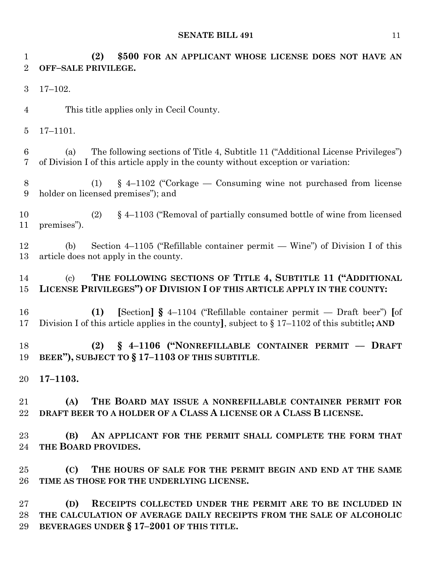**(2) \$500 FOR AN APPLICANT WHOSE LICENSE DOES NOT HAVE AN OFF–SALE PRIVILEGE.** 17–102. This title applies only in Cecil County. 17–1101. (a) The following sections of Title 4, Subtitle 11 ("Additional License Privileges") of Division I of this article apply in the county without exception or variation: (1) § 4–1102 ("Corkage — Consuming wine not purchased from license holder on licensed premises"); and (2) § 4–1103 ("Removal of partially consumed bottle of wine from licensed premises"). (b) Section 4–1105 ("Refillable container permit — Wine") of Division I of this article does not apply in the county. (c) **THE FOLLOWING SECTIONS OF TITLE 4, SUBTITLE 11 ("ADDITIONAL LICENSE PRIVILEGES") OF DIVISION I OF THIS ARTICLE APPLY IN THE COUNTY: (1) [**Section**] §** 4–1104 ("Refillable container permit — Draft beer") **[**of Division I of this article applies in the county**]**, subject to § 17–1102 of this subtitle**; AND (2) § 4–1106 ("NONREFILLABLE CONTAINER PERMIT –– DRAFT BEER"), SUBJECT TO § 17–1103 OF THIS SUBTITLE**. **17–1103. (A) THE BOARD MAY ISSUE A NONREFILLABLE CONTAINER PERMIT FOR DRAFT BEER TO A HOLDER OF A CLASS A LICENSE OR A CLASS B LICENSE. (B) AN APPLICANT FOR THE PERMIT SHALL COMPLETE THE FORM THAT THE BOARD PROVIDES. (C) THE HOURS OF SALE FOR THE PERMIT BEGIN AND END AT THE SAME TIME AS THOSE FOR THE UNDERLYING LICENSE. (D) RECEIPTS COLLECTED UNDER THE PERMIT ARE TO BE INCLUDED IN THE CALCULATION OF AVERAGE DAILY RECEIPTS FROM THE SALE OF ALCOHOLIC BEVERAGES UNDER § 17–2001 OF THIS TITLE.**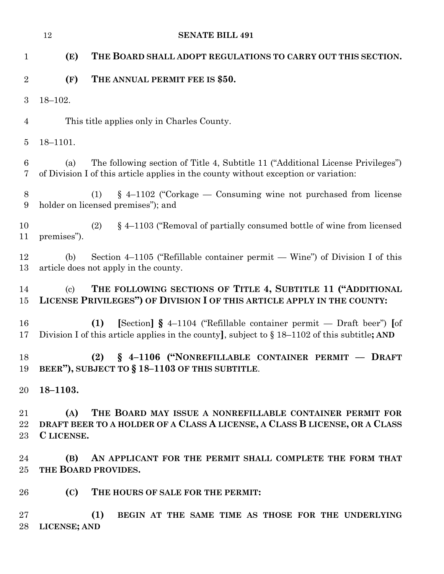|                    | 12                         | <b>SENATE BILL 491</b>                                                                                                                                                           |
|--------------------|----------------------------|----------------------------------------------------------------------------------------------------------------------------------------------------------------------------------|
| $\mathbf{1}$       | (E)                        | THE BOARD SHALL ADOPT REGULATIONS TO CARRY OUT THIS SECTION.                                                                                                                     |
| $\overline{2}$     | (F)                        | THE ANNUAL PERMIT FEE IS \$50.                                                                                                                                                   |
| 3                  | $18 - 102.$                |                                                                                                                                                                                  |
| $\overline{4}$     |                            | This title applies only in Charles County.                                                                                                                                       |
| $\overline{5}$     | $18 - 1101.$               |                                                                                                                                                                                  |
| 6<br>7             | (a)                        | The following section of Title 4, Subtitle 11 ("Additional License Privileges")<br>of Division I of this article applies in the county without exception or variation:           |
| 8<br>9             |                            | $\S$ 4–1102 ("Corkage — Consuming wine not purchased from license<br>(1)<br>holder on licensed premises"); and                                                                   |
| 10<br>11           | premises").                | § 4–1103 ("Removal of partially consumed bottle of wine from licensed<br>(2)                                                                                                     |
| 12<br>13           | (b)                        | Section $4-1105$ ("Refillable container permit — Wine") of Division I of this<br>article does not apply in the county.                                                           |
| 14<br>15           | $\left( \mathrm{c}\right)$ | THE FOLLOWING SECTIONS OF TITLE 4, SUBTITLE 11 ("ADDITIONAL<br>LICENSE PRIVILEGES") OF DIVISION I OF THIS ARTICLE APPLY IN THE COUNTY:                                           |
| 16<br>17           |                            | [Section] $\S$ 4-1104 ("Refillable container permit — Draft beer") [of<br>(1)<br>Division I of this article applies in the county, subject to $\S 18-1102$ of this subtitle; AND |
| 18<br>19           |                            | (2) § 4-1106 ("NONREFILLABLE CONTAINER PERMIT - DRAFT<br>BEER"), SUBJECT TO § 18-1103 OF THIS SUBTITLE.                                                                          |
| 20                 | 18-1103.                   |                                                                                                                                                                                  |
| 21<br>$22\,$<br>23 | (A)<br>C LICENSE.          | THE BOARD MAY ISSUE A NONREFILLABLE CONTAINER PERMIT FOR<br>DRAFT BEER TO A HOLDER OF A CLASS A LICENSE, A CLASS B LICENSE, OR A CLASS                                           |
| 24                 | (B)                        | AN APPLICANT FOR THE PERMIT SHALL COMPLETE THE FORM THAT                                                                                                                         |
| 25                 |                            | THE BOARD PROVIDES.                                                                                                                                                              |
| 26                 | (C)                        | THE HOURS OF SALE FOR THE PERMIT:                                                                                                                                                |
| 27<br>28           | LICENSE; AND               | (1)<br>BEGIN AT THE SAME TIME AS THOSE FOR THE UNDERLYING                                                                                                                        |
|                    |                            |                                                                                                                                                                                  |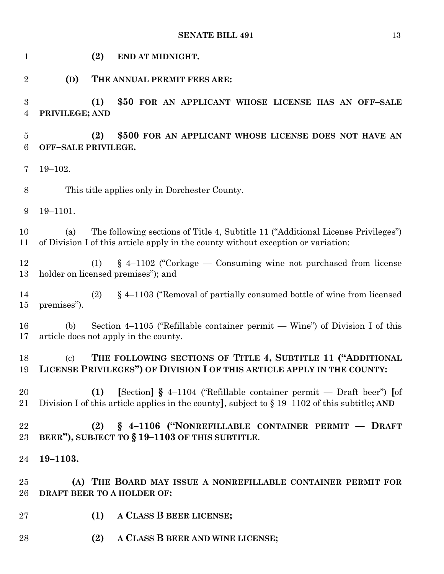**(2) END AT MIDNIGHT. (D) THE ANNUAL PERMIT FEES ARE: (1) \$50 FOR AN APPLICANT WHOSE LICENSE HAS AN OFF–SALE PRIVILEGE; AND (2) \$500 FOR AN APPLICANT WHOSE LICENSE DOES NOT HAVE AN OFF–SALE PRIVILEGE.** 19–102. This title applies only in Dorchester County. 19–1101. (a) The following sections of Title 4, Subtitle 11 ("Additional License Privileges") of Division I of this article apply in the county without exception or variation: (1) § 4–1102 ("Corkage — Consuming wine not purchased from license holder on licensed premises"); and (2) § 4–1103 ("Removal of partially consumed bottle of wine from licensed premises"). (b) Section 4–1105 ("Refillable container permit — Wine") of Division I of this article does not apply in the county. (c) **THE FOLLOWING SECTIONS OF TITLE 4, SUBTITLE 11 ("ADDITIONAL LICENSE PRIVILEGES") OF DIVISION I OF THIS ARTICLE APPLY IN THE COUNTY: (1) [**Section**] §** 4–1104 ("Refillable container permit — Draft beer") **[**of Division I of this article applies in the county**]**, subject to § 19–1102 of this subtitle**; AND (2) § 4–1106 ("NONREFILLABLE CONTAINER PERMIT –– DRAFT BEER"), SUBJECT TO § 19–1103 OF THIS SUBTITLE**. **19–1103. (A) THE BOARD MAY ISSUE A NONREFILLABLE CONTAINER PERMIT FOR DRAFT BEER TO A HOLDER OF: (1) A CLASS B BEER LICENSE; (2) A CLASS B BEER AND WINE LICENSE;**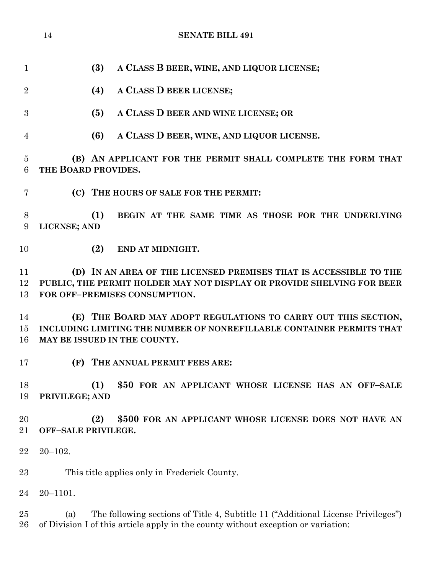|                     | <b>SENATE BILL 491</b><br>14                                                                                                                                                 |
|---------------------|------------------------------------------------------------------------------------------------------------------------------------------------------------------------------|
|                     |                                                                                                                                                                              |
| $\mathbf{1}$        | A CLASS B BEER, WINE, AND LIQUOR LICENSE;<br>(3)                                                                                                                             |
| $\overline{2}$      | (4)<br>A CLASS D BEER LICENSE;                                                                                                                                               |
| 3                   | A CLASS D BEER AND WINE LICENSE; OR<br>(5)                                                                                                                                   |
| $\overline{4}$      | A CLASS D BEER, WINE, AND LIQUOR LICENSE.<br>(6)                                                                                                                             |
| $\overline{5}$<br>6 | (B) AN APPLICANT FOR THE PERMIT SHALL COMPLETE THE FORM THAT<br>THE BOARD PROVIDES.                                                                                          |
| 7                   | (C) THE HOURS OF SALE FOR THE PERMIT:                                                                                                                                        |
| 8<br>9              | (1)<br>BEGIN AT THE SAME TIME AS THOSE FOR THE UNDERLYING<br>LICENSE; AND                                                                                                    |
| 10                  | (2)<br>END AT MIDNIGHT.                                                                                                                                                      |
| 11<br>12<br>13      | (D) IN AN AREA OF THE LICENSED PREMISES THAT IS ACCESSIBLE TO THE<br>PUBLIC, THE PERMIT HOLDER MAY NOT DISPLAY OR PROVIDE SHELVING FOR BEER<br>FOR OFF-PREMISES CONSUMPTION. |
| 14<br>15<br>16      | THE BOARD MAY ADOPT REGULATIONS TO CARRY OUT THIS SECTION,<br>(E)<br>INCLUDING LIMITING THE NUMBER OF NONREFILLABLE CONTAINER PERMITS THAT<br>MAY BE ISSUED IN THE COUNTY.   |
| 17                  | (F)<br>THE ANNUAL PERMIT FEES ARE:                                                                                                                                           |
| 18<br>19            | (1)<br>\$50 FOR AN APPLICANT WHOSE LICENSE HAS AN OFF-SALE<br>PRIVILEGE; AND                                                                                                 |
| 20<br>21            | (2)<br>\$500 FOR AN APPLICANT WHOSE LICENSE DOES NOT HAVE AN<br>OFF-SALE PRIVILEGE.                                                                                          |
| 22                  | $20 - 102.$                                                                                                                                                                  |
| 23                  | This title applies only in Frederick County.                                                                                                                                 |
| 24                  | $20 - 1101.$                                                                                                                                                                 |
| 25<br>26            | The following sections of Title 4, Subtitle 11 ("Additional License Privileges")<br>(a)<br>of Division I of this article apply in the county without exception or variation: |
|                     |                                                                                                                                                                              |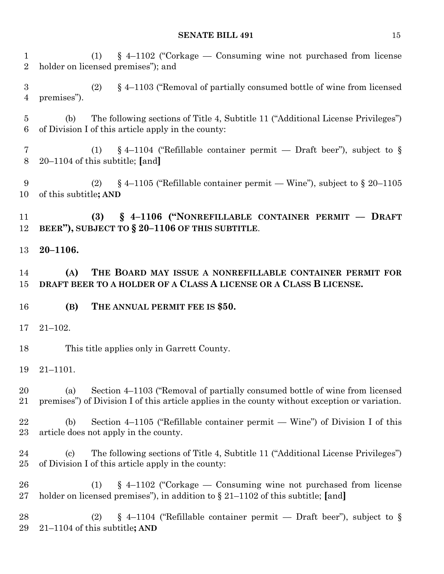(1) § 4–1102 ("Corkage — Consuming wine not purchased from license holder on licensed premises"); and (2) § 4–1103 ("Removal of partially consumed bottle of wine from licensed premises"). (b) The following sections of Title 4, Subtitle 11 ("Additional License Privileges") of Division I of this article apply in the county: (1) § 4–1104 ("Refillable container permit — Draft beer"), subject to § 20–1104 of this subtitle; **[**and**]** 9 (2)  $\S 4-1105$  ("Refillable container permit — Wine"), subject to  $\S 20-1105$  of this subtitle**; AND (3) § 4–1106 ("NONREFILLABLE CONTAINER PERMIT –– DRAFT BEER"), SUBJECT TO § 20–1106 OF THIS SUBTITLE**. **20–1106. (A) THE BOARD MAY ISSUE A NONREFILLABLE CONTAINER PERMIT FOR DRAFT BEER TO A HOLDER OF A CLASS A LICENSE OR A CLASS B LICENSE. (B) THE ANNUAL PERMIT FEE IS \$50.** 21–102. This title applies only in Garrett County. 21–1101. (a) Section 4–1103 ("Removal of partially consumed bottle of wine from licensed premises") of Division I of this article applies in the county without exception or variation. (b) Section 4–1105 ("Refillable container permit — Wine") of Division I of this article does not apply in the county. (c) The following sections of Title 4, Subtitle 11 ("Additional License Privileges") of Division I of this article apply in the county: (1) § 4–1102 ("Corkage — Consuming wine not purchased from license holder on licensed premises"), in addition to § 21–1102 of this subtitle; **[**and**]** 28 (2) § 4-1104 ("Refillable container permit — Draft beer"), subject to § 21–1104 of this subtitle**; AND**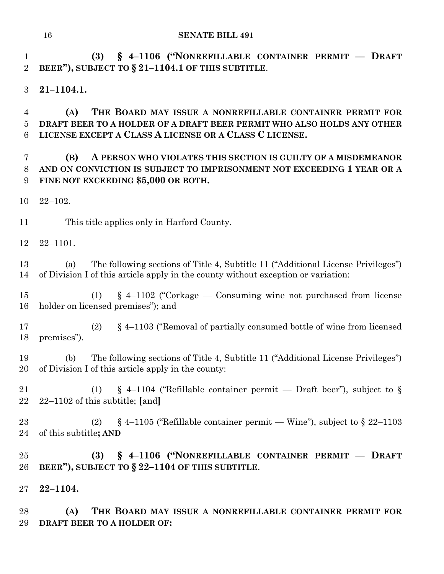**(3) § 4–1106 ("NONREFILLABLE CONTAINER PERMIT –– DRAFT BEER"), SUBJECT TO § 21–1104.1 OF THIS SUBTITLE**.

**21–1104.1.**

 **(A) THE BOARD MAY ISSUE A NONREFILLABLE CONTAINER PERMIT FOR DRAFT BEER TO A HOLDER OF A DRAFT BEER PERMIT WHO ALSO HOLDS ANY OTHER LICENSE EXCEPT A CLASS A LICENSE OR A CLASS C LICENSE.**

# **(B) A PERSON WHO VIOLATES THIS SECTION IS GUILTY OF A MISDEMEANOR AND ON CONVICTION IS SUBJECT TO IMPRISONMENT NOT EXCEEDING 1 YEAR OR A FINE NOT EXCEEDING \$5,000 OR BOTH.**

22–102.

This title applies only in Harford County.

22–1101.

 (a) The following sections of Title 4, Subtitle 11 ("Additional License Privileges") of Division I of this article apply in the county without exception or variation:

 (1) § 4–1102 ("Corkage — Consuming wine not purchased from license holder on licensed premises"); and

 (2) § 4–1103 ("Removal of partially consumed bottle of wine from licensed premises").

 (b) The following sections of Title 4, Subtitle 11 ("Additional License Privileges") of Division I of this article apply in the county:

21 (1) § 4–1104 ("Refillable container permit — Draft beer"), subject to § 22–1102 of this subtitle; **[**and**]**

23 (2) § 4–1105 ("Refillable container permit — Wine"), subject to § 22–1103 of this subtitle**; AND**

 **(3) § 4–1106 ("NONREFILLABLE CONTAINER PERMIT –– DRAFT BEER"), SUBJECT TO § 22–1104 OF THIS SUBTITLE**.

**22–1104.**

 **(A) THE BOARD MAY ISSUE A NONREFILLABLE CONTAINER PERMIT FOR DRAFT BEER TO A HOLDER OF:**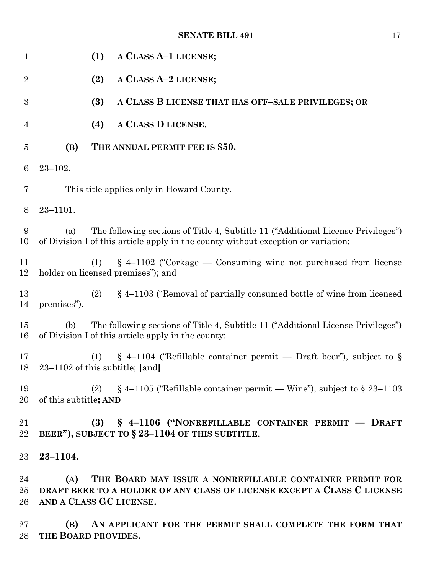| 1                  | (1)<br>A CLASS A-1 LICENSE;                                                                                                                                                  |
|--------------------|------------------------------------------------------------------------------------------------------------------------------------------------------------------------------|
| $\boldsymbol{2}$   | (2)<br>A CLASS A-2 LICENSE;                                                                                                                                                  |
| $\boldsymbol{3}$   | (3)<br>A CLASS B LICENSE THAT HAS OFF-SALE PRIVILEGES; OR                                                                                                                    |
| 4                  | A CLASS D LICENSE.<br>(4)                                                                                                                                                    |
| 5                  | (B)<br>THE ANNUAL PERMIT FEE IS \$50.                                                                                                                                        |
| 6                  | $23 - 102.$                                                                                                                                                                  |
| 7                  | This title applies only in Howard County.                                                                                                                                    |
| $8\phantom{1}$     | $23 - 1101.$                                                                                                                                                                 |
| 9<br>10            | The following sections of Title 4, Subtitle 11 ("Additional License Privileges")<br>(a)<br>of Division I of this article apply in the county without exception or variation: |
| 11<br>12           | $\S$ 4–1102 ("Corkage — Consuming wine not purchased from license<br>(1)<br>holder on licensed premises"); and                                                               |
| 13<br>14           | § 4–1103 ("Removal of partially consumed bottle of wine from licensed<br>(2)<br>premises").                                                                                  |
| 15<br>16           | The following sections of Title 4, Subtitle 11 ("Additional License Privileges")<br>(b)<br>of Division I of this article apply in the county:                                |
| 17<br>18           | $\S$ 4-1104 ("Refillable container permit — Draft beer"), subject to $\S$<br>(1)<br>$23-1102$ of this subtitle; [and]                                                        |
| 19<br>20           | $\S$ 4–1105 ("Refillable container permit — Wine"), subject to $\S$ 23–1103<br>(2)<br>of this subtitle; AND                                                                  |
| 21<br>22           | (3) § 4-1106 ("NONREFILLABLE CONTAINER PERMIT - DRAFT<br>BEER"), SUBJECT TO § 23-1104 OF THIS SUBTITLE.                                                                      |
| 23                 | $23 - 1104.$                                                                                                                                                                 |
| 24<br>$25\,$<br>26 | THE BOARD MAY ISSUE A NONREFILLABLE CONTAINER PERMIT FOR<br>(A)<br>DRAFT BEER TO A HOLDER OF ANY CLASS OF LICENSE EXCEPT A CLASS C LICENSE<br>AND A CLASS GC LICENSE.        |
| 27<br>28           | AN APPLICANT FOR THE PERMIT SHALL COMPLETE THE FORM THAT<br>(B)<br>THE BOARD PROVIDES.                                                                                       |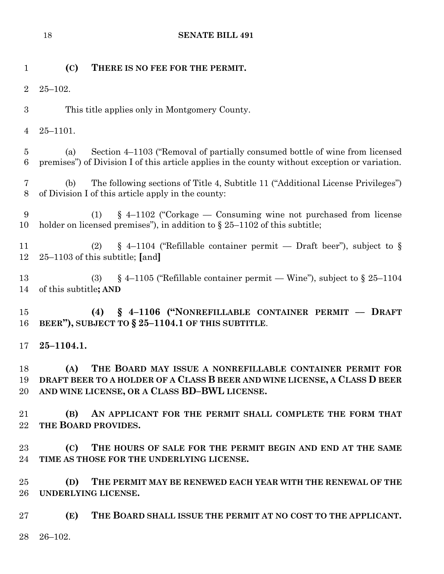**(C) THERE IS NO FEE FOR THE PERMIT.** 25–102. This title applies only in Montgomery County. 25–1101. (a) Section 4–1103 ("Removal of partially consumed bottle of wine from licensed premises") of Division I of this article applies in the county without exception or variation. (b) The following sections of Title 4, Subtitle 11 ("Additional License Privileges") of Division I of this article apply in the county: (1) § 4–1102 ("Corkage — Consuming wine not purchased from license holder on licensed premises"), in addition to § 25–1102 of this subtitle; 11 (2) § 4–1104 ("Refillable container permit — Draft beer"), subject to § 25–1103 of this subtitle; **[**and**]** 13 (3) § 4–1105 ("Refillable container permit — Wine"), subject to § 25–1104 of this subtitle**; AND (4) § 4–1106 ("NONREFILLABLE CONTAINER PERMIT –– DRAFT BEER"), SUBJECT TO § 25–1104.1 OF THIS SUBTITLE**. **25–1104.1. (A) THE BOARD MAY ISSUE A NONREFILLABLE CONTAINER PERMIT FOR DRAFT BEER TO A HOLDER OF A CLASS B BEER AND WINE LICENSE, A CLASS D BEER AND WINE LICENSE, OR A CLASS BD–BWL LICENSE. (B) AN APPLICANT FOR THE PERMIT SHALL COMPLETE THE FORM THAT THE BOARD PROVIDES. (C) THE HOURS OF SALE FOR THE PERMIT BEGIN AND END AT THE SAME TIME AS THOSE FOR THE UNDERLYING LICENSE. (D) THE PERMIT MAY BE RENEWED EACH YEAR WITH THE RENEWAL OF THE UNDERLYING LICENSE. (E) THE BOARD SHALL ISSUE THE PERMIT AT NO COST TO THE APPLICANT.** 26–102.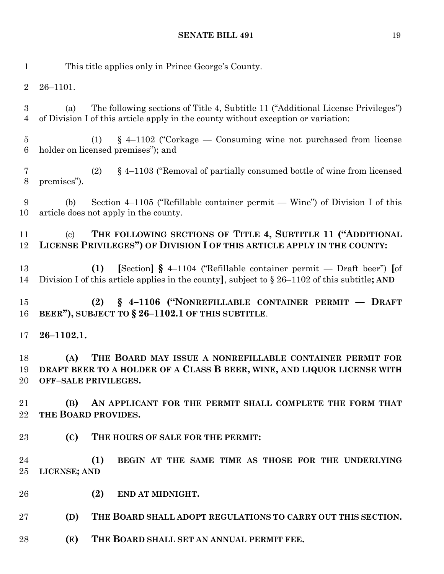| $\mathbf{1}$                       |                           | This title applies only in Prince George's County.                                                                                                                               |
|------------------------------------|---------------------------|----------------------------------------------------------------------------------------------------------------------------------------------------------------------------------|
| $\overline{2}$                     | $26 - 1101.$              |                                                                                                                                                                                  |
| $\boldsymbol{3}$<br>$\overline{4}$ | (a)                       | The following sections of Title 4, Subtitle 11 ("Additional License Privileges")<br>of Division I of this article apply in the county without exception or variation:            |
| $\overline{5}$<br>$6\phantom{.}6$  |                           | $\S$ 4–1102 ("Corkage — Consuming wine not purchased from license<br>(1)<br>holder on licensed premises"); and                                                                   |
| $\overline{7}$<br>$8\,$            | premises").               | $\S$ 4–1103 ("Removal of partially consumed bottle of wine from licensed<br>(2)                                                                                                  |
| 9<br>10                            | (b)                       | Section 4–1105 ("Refillable container permit — Wine") of Division I of this<br>article does not apply in the county.                                                             |
| 11<br>12                           | $\left( \text{c} \right)$ | THE FOLLOWING SECTIONS OF TITLE 4, SUBTITLE 11 ("ADDITIONAL<br>LICENSE PRIVILEGES") OF DIVISION I OF THIS ARTICLE APPLY IN THE COUNTY:                                           |
| 13<br>14                           |                           | [Section] $\S$ 4–1104 ("Refillable container permit — Draft beer") [of<br>(1)<br>Division I of this article applies in the county, subject to $\S 26-1102$ of this subtitle; AND |
| 15<br>16                           |                           | § 4-1106 ("NONREFILLABLE CONTAINER PERMIT - DRAFT<br>(2)<br>BEER"), SUBJECT TO § 26-1102.1 OF THIS SUBTITLE.                                                                     |
| 17                                 | $26 - 1102.1.$            |                                                                                                                                                                                  |
| 18<br>19<br>20                     | (A)                       | THE BOARD MAY ISSUE A NONREFILLABLE CONTAINER PERMIT FOR<br>DRAFT BEER TO A HOLDER OF A CLASS B BEER, WINE, AND LIQUOR LICENSE WITH<br>OFF-SALE PRIVILEGES.                      |
| 21<br>22                           | (B)                       | AN APPLICANT FOR THE PERMIT SHALL COMPLETE THE FORM THAT<br>THE BOARD PROVIDES.                                                                                                  |
| 23                                 | (C)                       | THE HOURS OF SALE FOR THE PERMIT:                                                                                                                                                |
| 24<br>25                           | LICENSE; AND              | (1)<br>BEGIN AT THE SAME TIME AS THOSE FOR THE UNDERLYING                                                                                                                        |
| 26                                 |                           | (2)<br>END AT MIDNIGHT.                                                                                                                                                          |
| 27                                 | (D)                       | THE BOARD SHALL ADOPT REGULATIONS TO CARRY OUT THIS SECTION.                                                                                                                     |
| 28                                 | (E)                       | THE BOARD SHALL SET AN ANNUAL PERMIT FEE.                                                                                                                                        |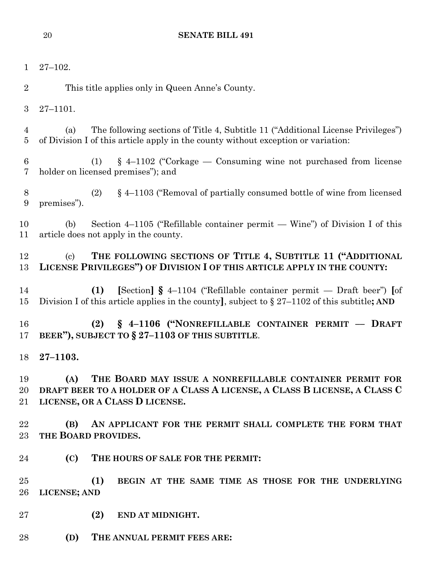| $\mathbf{1}$        | $27 - 102.$                                                                                                                                                                       |
|---------------------|-----------------------------------------------------------------------------------------------------------------------------------------------------------------------------------|
| $\overline{2}$      | This title applies only in Queen Anne's County.                                                                                                                                   |
| 3                   | $27 - 1101.$                                                                                                                                                                      |
| 4<br>$\overline{5}$ | The following sections of Title 4, Subtitle 11 ("Additional License Privileges")<br>(a)<br>of Division I of this article apply in the county without exception or variation:      |
| $\,6$<br>7          | $§$ 4-1102 ("Corkage — Consuming wine not purchased from license<br>(1)<br>holder on licensed premises"); and                                                                     |
| 8<br>9              | $\S$ 4–1103 ("Removal of partially consumed bottle of wine from licensed<br>(2)<br>premises").                                                                                    |
| 10<br>11            | Section $4-1105$ ("Refillable container permit — Wine") of Division I of this<br>(b)<br>article does not apply in the county.                                                     |
| 12<br>13            | THE FOLLOWING SECTIONS OF TITLE 4, SUBTITLE 11 ("ADDITIONAL<br>$\left( \mathrm{c}\right)$<br>LICENSE PRIVILEGES") OF DIVISION I OF THIS ARTICLE APPLY IN THE COUNTY:              |
| 14<br>15            | [Section] $\S$ 4-1104 ("Refillable container permit — Draft beer") [of<br>(1)<br>Division I of this article applies in the county], subject to $\S 27-1102$ of this subtitle; AND |
| 16<br>17            | (2) § 4-1106 ("NONREFILLABLE CONTAINER PERMIT - DRAFT<br>BEER"), SUBJECT TO § 27-1103 OF THIS SUBTITLE.                                                                           |
| 18                  | $27 - 1103.$                                                                                                                                                                      |
| 19<br>20<br>21      | (A)<br>THE BOARD MAY ISSUE A NONREFILLABLE CONTAINER PERMIT FOR<br>DRAFT BEER TO A HOLDER OF A CLASS A LICENSE, A CLASS B LICENSE, A CLASS C<br>LICENSE, OR A CLASS D LICENSE.    |
| 22<br>23            | AN APPLICANT FOR THE PERMIT SHALL COMPLETE THE FORM THAT<br>(B)<br>THE BOARD PROVIDES.                                                                                            |
| 24                  | (C)<br>THE HOURS OF SALE FOR THE PERMIT:                                                                                                                                          |
| 25<br>26            | (1)<br>BEGIN AT THE SAME TIME AS THOSE FOR THE UNDERLYING<br>LICENSE; AND                                                                                                         |
| $27\,$              | (2)<br>END AT MIDNIGHT.                                                                                                                                                           |
| 28                  | (D)<br>THE ANNUAL PERMIT FEES ARE:                                                                                                                                                |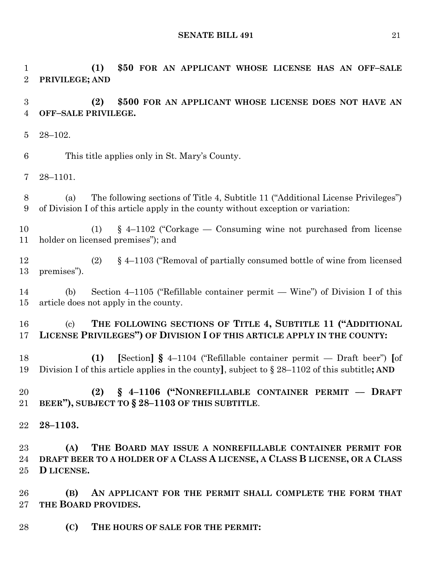**(1) \$50 FOR AN APPLICANT WHOSE LICENSE HAS AN OFF–SALE** 

**PRIVILEGE; AND**

 **(2) \$500 FOR AN APPLICANT WHOSE LICENSE DOES NOT HAVE AN OFF–SALE PRIVILEGE.** 28–102. This title applies only in St. Mary's County. 28–1101. (a) The following sections of Title 4, Subtitle 11 ("Additional License Privileges") of Division I of this article apply in the county without exception or variation: (1) § 4–1102 ("Corkage — Consuming wine not purchased from license holder on licensed premises"); and (2) § 4–1103 ("Removal of partially consumed bottle of wine from licensed premises"). (b) Section 4–1105 ("Refillable container permit — Wine") of Division I of this article does not apply in the county. (c) **THE FOLLOWING SECTIONS OF TITLE 4, SUBTITLE 11 ("ADDITIONAL LICENSE PRIVILEGES") OF DIVISION I OF THIS ARTICLE APPLY IN THE COUNTY: (1) [**Section**] §** 4–1104 ("Refillable container permit — Draft beer") **[**of Division I of this article applies in the county**]**, subject to § 28–1102 of this subtitle**; AND (2) § 4–1106 ("NONREFILLABLE CONTAINER PERMIT –– DRAFT BEER"), SUBJECT TO § 28–1103 OF THIS SUBTITLE**. **28–1103. (A) THE BOARD MAY ISSUE A NONREFILLABLE CONTAINER PERMIT FOR DRAFT BEER TO A HOLDER OF A CLASS A LICENSE, A CLASS B LICENSE, OR A CLASS D LICENSE. (B) AN APPLICANT FOR THE PERMIT SHALL COMPLETE THE FORM THAT THE BOARD PROVIDES. (C) THE HOURS OF SALE FOR THE PERMIT:**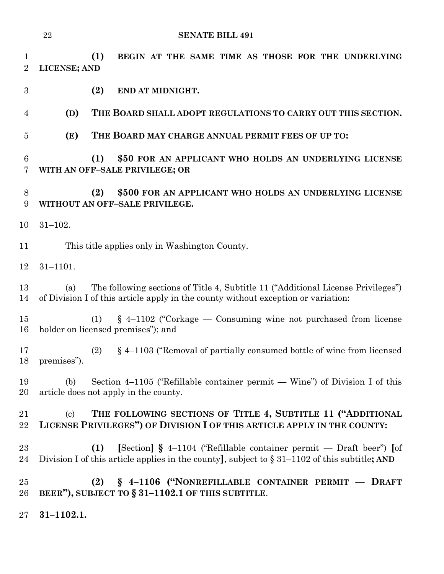| $\mathbf 1$<br>$\overline{2}$ | (1)<br>BEGIN AT THE SAME TIME AS THOSE FOR THE UNDERLYING<br>LICENSE; AND                                                                                                        |
|-------------------------------|----------------------------------------------------------------------------------------------------------------------------------------------------------------------------------|
| $\boldsymbol{3}$              | (2)<br>END AT MIDNIGHT.                                                                                                                                                          |
| 4                             | (D)<br>THE BOARD SHALL ADOPT REGULATIONS TO CARRY OUT THIS SECTION.                                                                                                              |
| $\overline{5}$                | (E)<br>THE BOARD MAY CHARGE ANNUAL PERMIT FEES OF UP TO:                                                                                                                         |
| 6<br>7                        | (1)<br>\$50 FOR AN APPLICANT WHO HOLDS AN UNDERLYING LICENSE<br>WITH AN OFF-SALE PRIVILEGE; OR                                                                                   |
| 8<br>9                        | \$500 FOR AN APPLICANT WHO HOLDS AN UNDERLYING LICENSE<br>(2)<br>WITHOUT AN OFF-SALE PRIVILEGE.                                                                                  |
| 10                            | $31 - 102.$                                                                                                                                                                      |
| 11                            | This title applies only in Washington County.                                                                                                                                    |
| 12                            | $31 - 1101.$                                                                                                                                                                     |
| 13<br>14                      | The following sections of Title 4, Subtitle 11 ("Additional License Privileges")<br>(a)<br>of Division I of this article apply in the county without exception or variation:     |
| 15<br>16                      | $\S$ 4–1102 ("Corkage — Consuming wine not purchased from license<br>(1)<br>holder on licensed premises"); and                                                                   |
| 17<br>18                      | (2)<br>$\S$ 4–1103 ("Removal of partially consumed bottle of wine from licensed<br>premises").                                                                                   |
| 19<br>20                      | Section 4–1105 ("Refillable container permit — Wine") of Division I of this<br>(b)<br>article does not apply in the county.                                                      |
| 21<br>22                      | THE FOLLOWING SECTIONS OF TITLE 4, SUBTITLE 11 ("ADDITIONAL<br>$\left( \mathrm{c}\right)$<br>LICENSE PRIVILEGES") OF DIVISION I OF THIS ARTICLE APPLY IN THE COUNTY:             |
| 23<br>24                      | [Section] $\S$ 4–1104 ("Refillable container permit — Draft beer") [of<br>(1)<br>Division I of this article applies in the county, subject to $\S 31-1102$ of this subtitle; AND |
| $25\,$<br>26                  | § 4-1106 ("NONREFILLABLE CONTAINER PERMIT - DRAFT<br>(2)<br>BEER"), SUBJECT TO § 31-1102.1 OF THIS SUBTITLE.                                                                     |
| $27\,$                        | $31 - 1102.1.$                                                                                                                                                                   |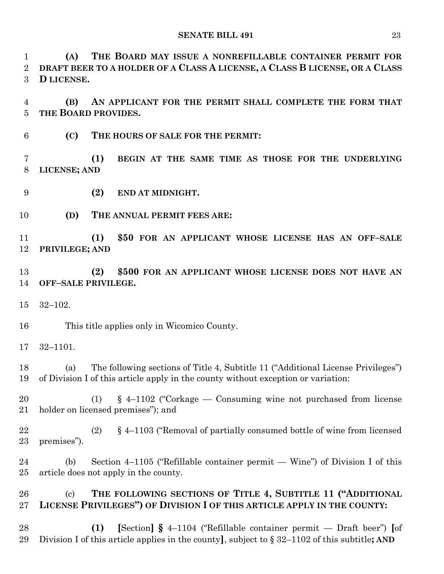**(A) THE BOARD MAY ISSUE A NONREFILLABLE CONTAINER PERMIT FOR DRAFT BEER TO A HOLDER OF A CLASS A LICENSE, A CLASS B LICENSE, OR A CLASS D LICENSE.**

 **(B) AN APPLICANT FOR THE PERMIT SHALL COMPLETE THE FORM THAT THE BOARD PROVIDES.**

**(C) THE HOURS OF SALE FOR THE PERMIT:**

 **(1) BEGIN AT THE SAME TIME AS THOSE FOR THE UNDERLYING LICENSE; AND**

- **(2) END AT MIDNIGHT.**
- **(D) THE ANNUAL PERMIT FEES ARE:**

 **(1) \$50 FOR AN APPLICANT WHOSE LICENSE HAS AN OFF–SALE PRIVILEGE; AND**

 **(2) \$500 FOR AN APPLICANT WHOSE LICENSE DOES NOT HAVE AN OFF–SALE PRIVILEGE.**

32–102.

This title applies only in Wicomico County.

32–1101.

 (a) The following sections of Title 4, Subtitle 11 ("Additional License Privileges") of Division I of this article apply in the county without exception or variation:

 (1) § 4–1102 ("Corkage — Consuming wine not purchased from license holder on licensed premises"); and

 (2) § 4–1103 ("Removal of partially consumed bottle of wine from licensed premises").

 (b) Section 4–1105 ("Refillable container permit — Wine") of Division I of this article does not apply in the county.

 (c) **THE FOLLOWING SECTIONS OF TITLE 4, SUBTITLE 11 ("ADDITIONAL LICENSE PRIVILEGES") OF DIVISION I OF THIS ARTICLE APPLY IN THE COUNTY:**

 **(1) [**Section**] §** 4–1104 ("Refillable container permit — Draft beer") **[**of Division I of this article applies in the county**]**, subject to § 32–1102 of this subtitle**; AND**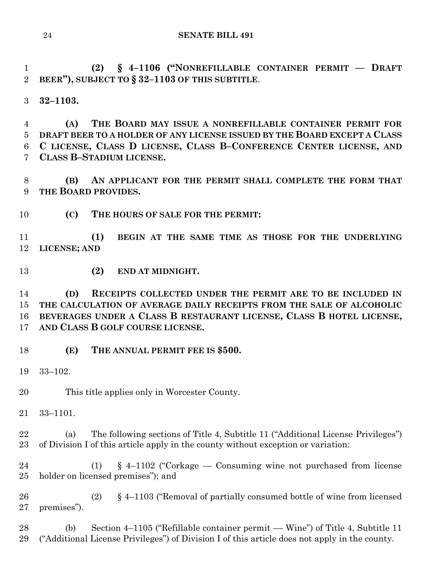**(2) § 4–1106 ("NONREFILLABLE CONTAINER PERMIT –– DRAFT BEER"), SUBJECT TO § 32–1103 OF THIS SUBTITLE**.

**32–1103.**

 **(A) THE BOARD MAY ISSUE A NONREFILLABLE CONTAINER PERMIT FOR DRAFT BEER TO A HOLDER OF ANY LICENSE ISSUED BY THE BOARD EXCEPT A CLASS C LICENSE, CLASS D LICENSE, CLASS B–CONFERENCE CENTER LICENSE, AND CLASS B–STADIUM LICENSE.**

 **(B) AN APPLICANT FOR THE PERMIT SHALL COMPLETE THE FORM THAT THE BOARD PROVIDES.**

**(C) THE HOURS OF SALE FOR THE PERMIT:**

 **(1) BEGIN AT THE SAME TIME AS THOSE FOR THE UNDERLYING LICENSE; AND**

**(2) END AT MIDNIGHT.**

 **(D) RECEIPTS COLLECTED UNDER THE PERMIT ARE TO BE INCLUDED IN THE CALCULATION OF AVERAGE DAILY RECEIPTS FROM THE SALE OF ALCOHOLIC BEVERAGES UNDER A CLASS B RESTAURANT LICENSE, CLASS B HOTEL LICENSE, AND CLASS B GOLF COURSE LICENSE.**

**(E) THE ANNUAL PERMIT FEE IS \$500.**

33–102.

This title applies only in Worcester County.

33–1101.

 (a) The following sections of Title 4, Subtitle 11 ("Additional License Privileges") of Division I of this article apply in the county without exception or variation:

 (1) § 4–1102 ("Corkage — Consuming wine not purchased from license holder on licensed premises"); and

 (2) § 4–1103 ("Removal of partially consumed bottle of wine from licensed premises").

 (b) Section 4–1105 ("Refillable container permit –– Wine") of Title 4, Subtitle 11 ("Additional License Privileges") of Division I of this article does not apply in the county.